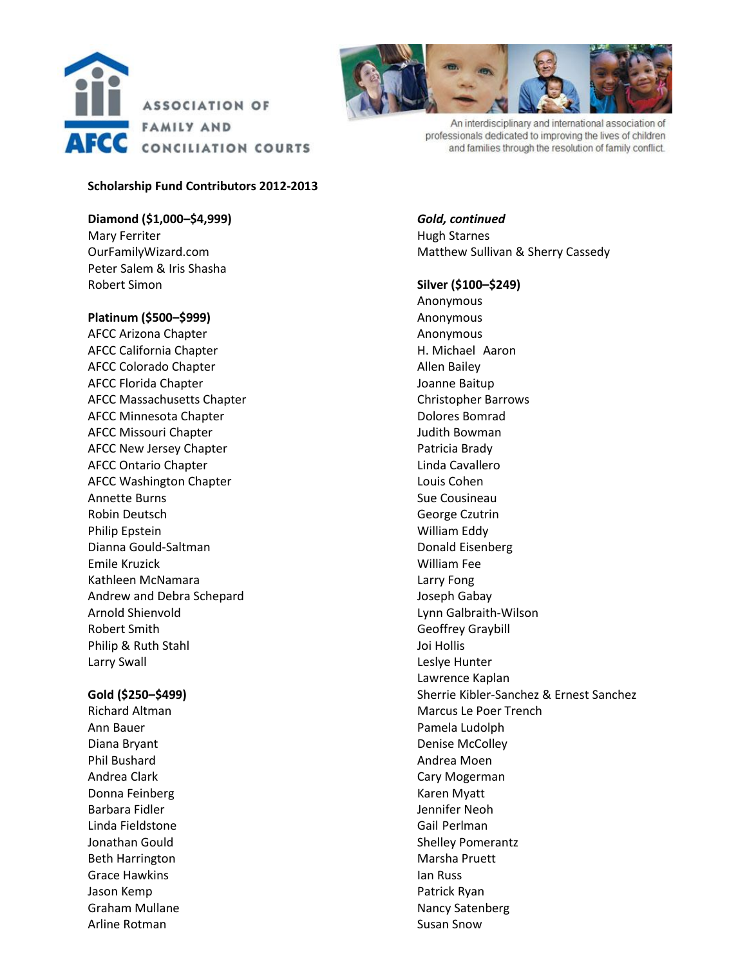

## **Scholarship Fund Contributors 2012-2013**

**Diamond (\$1,000–\$4,999)** Mary Ferriter OurFamilyWizard.com Peter Salem & Iris Shasha Robert Simon

**Platinum (\$500–\$999)**

AFCC Arizona Chapter AFCC California Chapter AFCC Colorado Chapter AFCC Florida Chapter AFCC Massachusetts Chapter AFCC Minnesota Chapter AFCC Missouri Chapter AFCC New Jersey Chapter AFCC Ontario Chapter AFCC Washington Chapter Annette Burns Robin Deutsch Philip Epstein Dianna Gould-Saltman Emile Kruzick Kathleen McNamara Andrew and Debra Schepard Arnold Shienvold Robert Smith Philip & Ruth Stahl Larry Swall

#### **Gold (\$250–\$499)**

Richard Altman Ann Bauer Diana Bryant Phil Bushard Andrea Clark Donna Feinberg Barbara Fidler Linda Fieldstone Jonathan Gould Beth Harrington Grace Hawkins Jason Kemp Graham Mullane Arline Rotman



An interdisciplinary and international association of professionals dedicated to improving the lives of children and families through the resolution of family conflict.

*Gold, continued* Hugh Starnes Matthew Sullivan & Sherry Cassedy

**Silver (\$100–\$249)**

Anonymous Anonymous Anonymous H. Michael Aaron Allen Bailey Joanne Baitup Christopher Barrows Dolores Bomrad Judith Bowman Patricia Brady Linda Cavallero Louis Cohen Sue Cousineau George Czutrin William Eddy Donald Eisenberg William Fee Larry Fong Joseph Gabay Lynn Galbraith-Wilson Geoffrey Graybill Joi Hollis Leslye Hunter Lawrence Kaplan Sherrie Kibler-Sanchez & Ernest Sanchez Marcus Le Poer Trench Pamela Ludolph Denise McColley Andrea Moen Cary Mogerman Karen Myatt Jennifer Neoh Gail Perlman Shelley Pomerantz Marsha Pruett Ian Russ Patrick Ryan Nancy Satenberg Susan Snow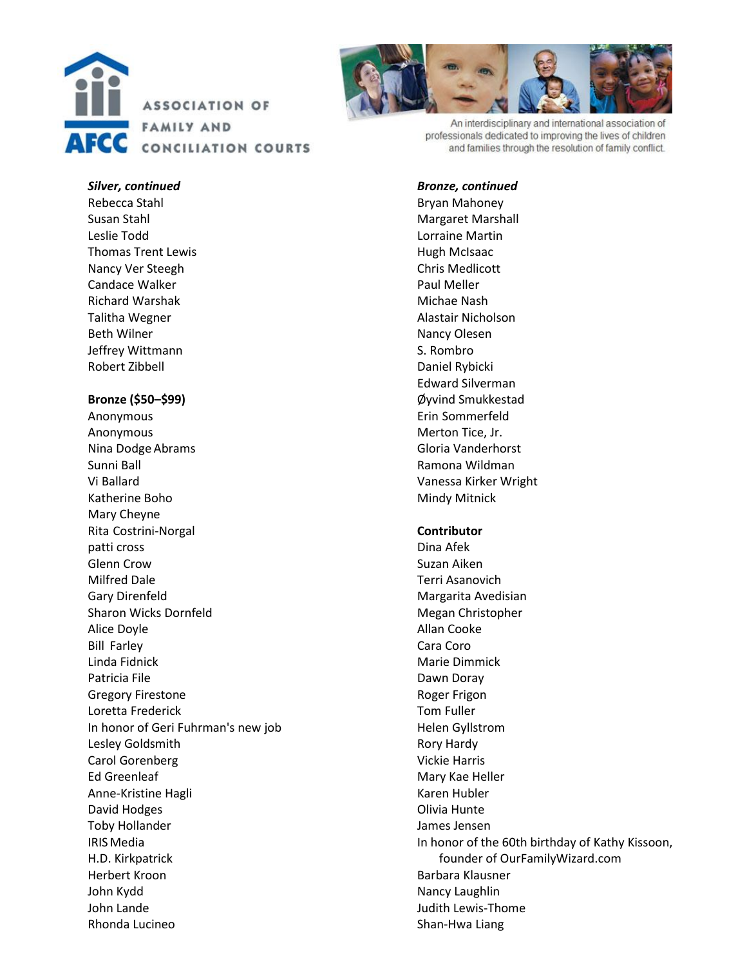



An interdisciplinary and international association of professionals dedicated to improving the lives of children and families through the resolution of family conflict.

#### *Silver, continued*

Rebecca Stahl Susan Stahl Leslie Todd Thomas Trent Lewis Nancy Ver Steegh Candace Walker Richard Warshak Talitha Wegner Beth Wilner Jeffrey Wittmann Robert Zibbell

## **Bronze (\$50–\$99)**

Anonymous Anonymous Nina Dodge Abrams Sunni Ball Vi Ballard Katherine Boho Mary Cheyne Rita Costrini-Norgal patti cross Glenn Crow Milfred Dale Gary Direnfeld Sharon Wicks Dornfeld Alice Doyle Bill Farley Linda Fidnick Patricia File Gregory Firestone Loretta Frederick In honor of Geri Fuhrman's new job Lesley Goldsmith Carol Gorenberg Ed Greenleaf Anne-Kristine Hagli David Hodges Toby Hollander IRISMedia H.D. Kirkpatrick Herbert Kroon John Kydd John Lande Rhonda Lucineo

#### *Bronze, continued*

Bryan Mahoney Margaret Marshall Lorraine Martin Hugh McIsaac Chris Medlicott Paul Meller Michae Nash Alastair Nicholson Nancy Olesen S. Rombro Daniel Rybicki Edward Silverman Øyvind Smukkestad Erin Sommerfeld Merton Tice, Jr. Gloria Vanderhorst Ramona Wildman Vanessa Kirker Wright Mindy Mitnick

## **Contributor**

Dina Afek Suzan Aiken Terri Asanovich Margarita Avedisian Megan Christopher Allan Cooke Cara Coro Marie Dimmick Dawn Doray Roger Frigon Tom Fuller Helen Gyllstrom Rory Hardy Vickie Harris Mary Kae Heller Karen Hubler Olivia Hunte James Jensen In honor of the 60th birthday of Kathy Kissoon, founder of OurFamilyWizard.com Barbara Klausner Nancy Laughlin Judith Lewis-Thome Shan-Hwa Liang